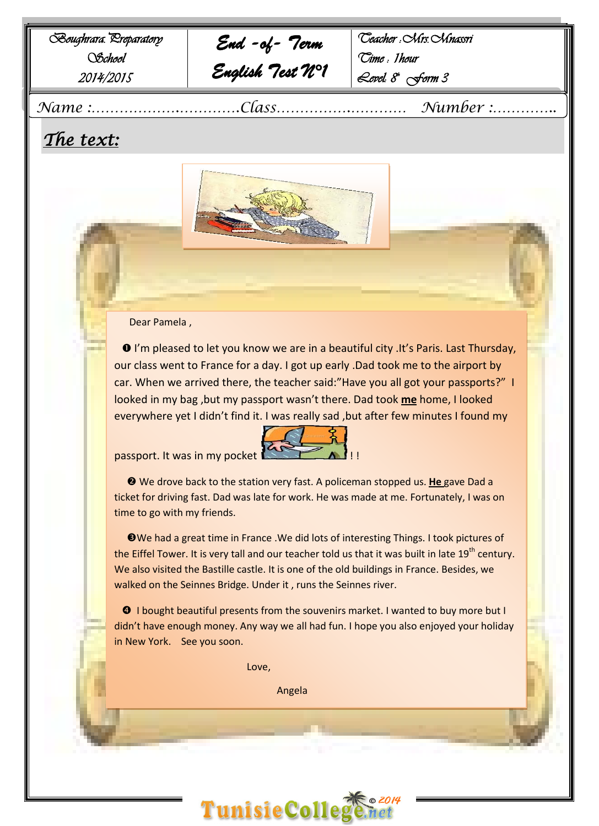**Boughrara.** Preparatory **School** 2014/2015

*End -of- Term English Test N°1*  Teacher :Mrs.Mnassri Time : 1hour

Level: 8th Form 3

*Name :……………….………….Class…………….………… Number :…………..*

## *The text:*



Dear Pamela ,

 I'm pleased to let you know we are in a beautiful city .It's Paris. Last Thursday, our class went to France for a day. I got up early .Dad took me to the airport by car. When we arrived there, the teacher said:"Have you all got your passports?" I looked in my bag ,but my passport wasn't there. Dad took **me** home, I looked everywhere yet I didn't find it. I was really sad ,but after few minutes I found my



passport. It was in my pocket

 We drove back to the station very fast. A policeman stopped us. **He** gave Dad a ticket for driving fast. Dad was late for work. He was made at me. Fortunately, I was on time to go with my friends.

 We had a great time in France .We did lots of interesting Things. I took pictures of the Eiffel Tower. It is very tall and our teacher told us that it was built in late  $19<sup>th</sup>$  century. We also visited the Bastille castle. It is one of the old buildings in France. Besides, we walked on the Seinnes Bridge. Under it , runs the Seinnes river.

**O** I bought beautiful presents from the souvenirs market. I wanted to buy more but I didn't have enough money. Any way we all had fun. I hope you also enjoyed your holiday in New York. See you soon.

Love,

Angela

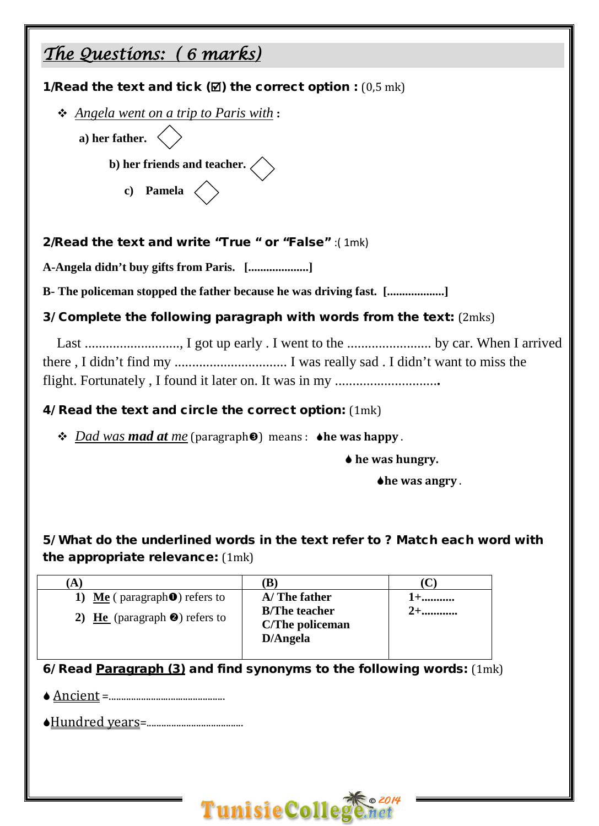# 1/Read the text and tick ( $\boxtimes$ ) the correct option : (0,5 mk) *The Questions: ( 6 marks) Angela went on a trip to Paris with*  **: a) her father. b) her friends and teacher. c) Pamela**  2/Read the text and write "True " or "False" :( 1mk) **A-Angela didn't buy gifts from Paris. [....................] B- The policeman stopped the father because he was driving fast. [...................]**  3/ Complete the following paragraph with words from the text: (2mks)

Last ............................., I got up early . I went to the ................................. by car. When I arrived there , I didn't find my ................................ I was really sad . I didn't want to miss the flight. Fortunately , I found it later on. It was in my .............................**.**

### 4/ Read the text and circle the correct option: (1mk)

*Dad was mad at me* (paragraph) means : **he was happy** .

**he was hungry.**

**he was angry** .

#### 5/ What do the underlined words in the text refer to ? Match each word with the appropriate relevance: (1mk)

| A                                                                                                       | (B)                                                                 |  |
|---------------------------------------------------------------------------------------------------------|---------------------------------------------------------------------|--|
| 1) $\mathbf{M}\mathbf{e}$ (paragraph $\mathbf{0}$ ) refers to<br>2) He (paragraph $\bullet$ ) refers to | A/The father<br><b>B/The teacher</b><br>C/The policeman<br>D/Angela |  |

6/ Read Paragraph (3) and find synonyms to the following words: (1mk)

Ancient =...............................................

Hundred years=.......................................

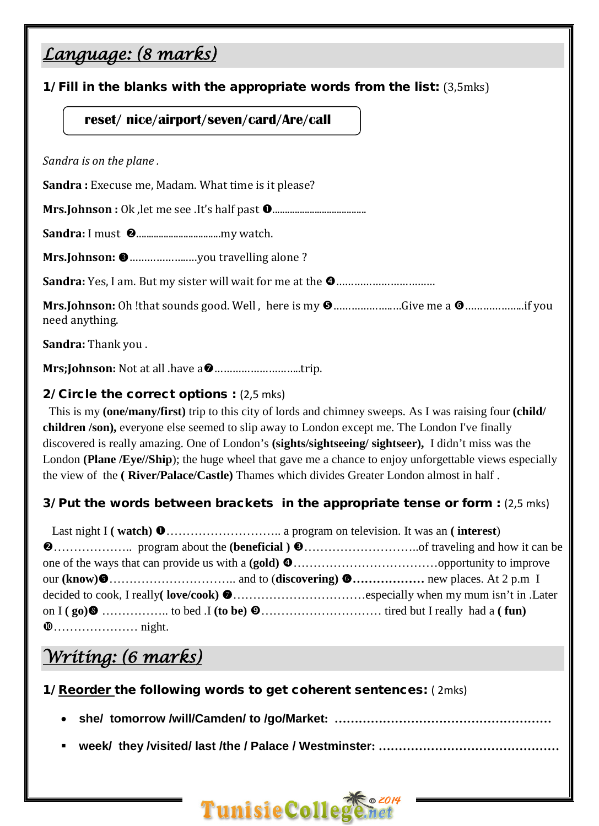## *Language: (8 marks)*

#### 1/ Fill in the blanks with the appropriate words from the list: (3,5mks)

#### **reset/ nice/airport/seven/card/Are/call**

#### *Sandra is on the plane .*

**Sandra :** Execuse me, Madam. What time is it please? **Mrs.Johnson :** Ok ,let me see .It's half past ...................................... **Sandra:** I must ..................................my watch. **Mrs.Johnson:** ………………..…you travelling alone ? **Sandra:** Yes, I am. But my sister will wait for me at the …………………………… **Mrs.Johnson:** Oh !that sounds good. Well, here is my  $\bullet$  .......................Give me a  $\bullet$  .......................if you need anything.

**Sandra:** Thank you .

**Mrs;Johnson:** Not at all .have a………………………..trip.

#### 2/ Circle the correct options : (2,5 mks)

 This is my **(one/many/first)** trip to this city of lords and chimney sweeps. As I was raising four **(child/ children /son),** everyone else seemed to slip away to London except me. The London I've finally discovered is really amazing. One of London's **(sights/sightseeing/ sightseer),** I didn't miss was the London **(Plane /Eye//Ship**); the huge wheel that gave me a chance to enjoy unforgettable views especially the view of the **( River/Palace/Castle)** Thames which divides Greater London almost in half .

#### 3/ Put the words between brackets in the appropriate tense or form : (2,5 mks)

| our $(know) \otimes  \otimes  \otimes  \otimes $ and to $(discovering) \otimes  \otimes  \otimes  \otimes $ new places. At 2 p.m I |  |  |
|------------------------------------------------------------------------------------------------------------------------------------|--|--|
|                                                                                                                                    |  |  |
|                                                                                                                                    |  |  |
|                                                                                                                                    |  |  |

# *Writing: (6 marks)*

1/ Reorder the following words to get coherent sentences: (2mks)

- **she/ tomorrow /will/Camden/ to /go/Market: ………………………………………………**
- **week/ they /visited/ last /the / Palace / Westminster: ………………………………………**

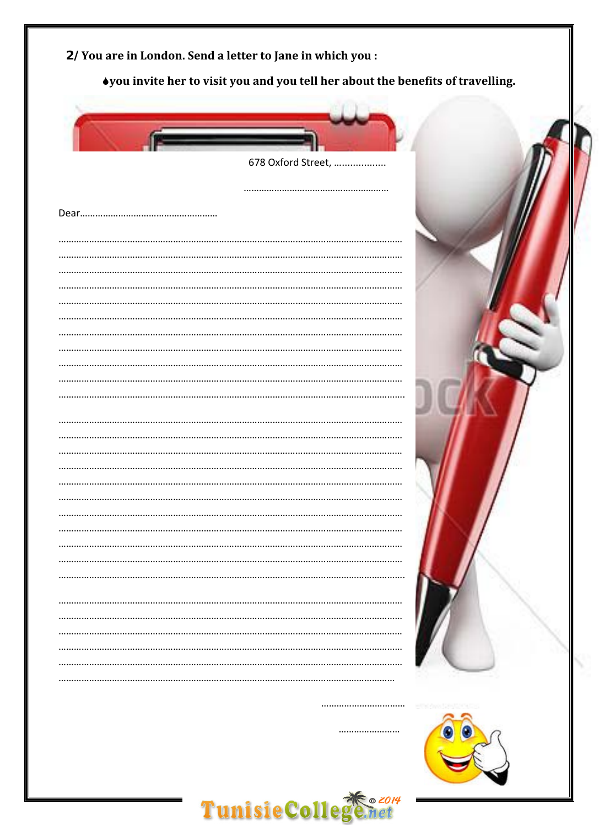

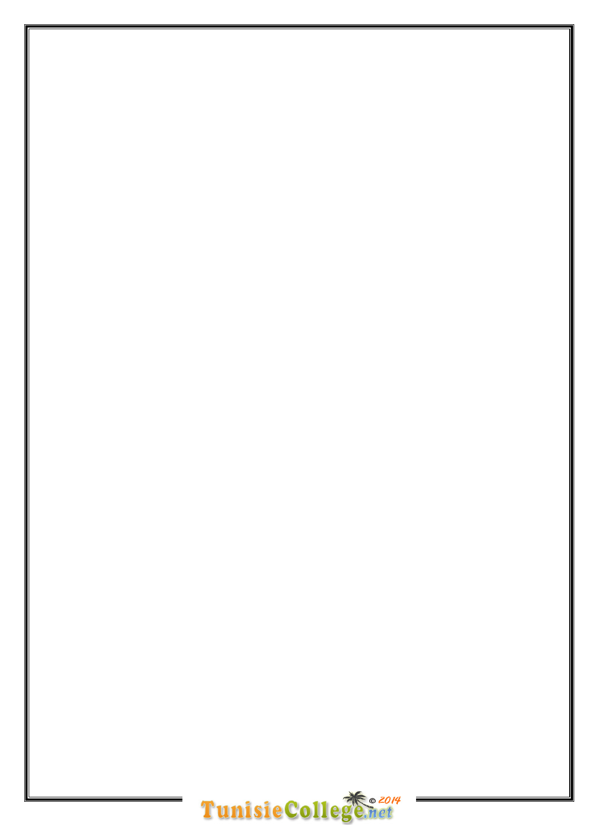